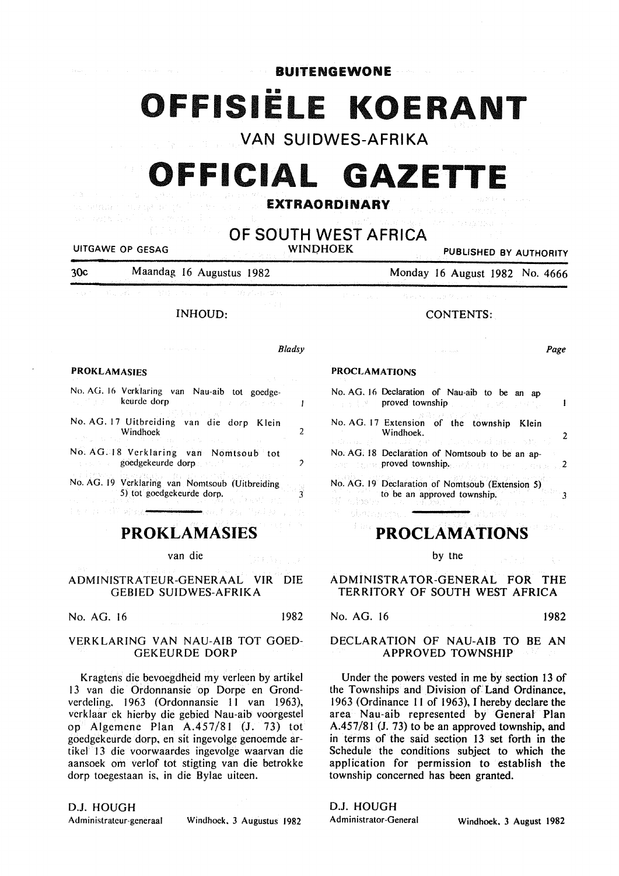**BUITENGEWONE** 

# **OFFISIËLE KOERANT**

VAN SUIDWES-AFRIKA

# OFFICIAL **GAZETTE**

### EXTRAORDINARY

OF SOUTH WEST AFRICA

UITGAWE OP GESAG

Per a proviña dagogenn

in a

PUBLISHED BY AUTHORITY

Page

| 30 <sub>c</sub> | Maandag 16 Augustus 1982 | Monday 16 August 1982 No. 4666 |
|-----------------|--------------------------|--------------------------------|
|-----------------|--------------------------|--------------------------------|

#### INHOUD:

| <b>PROKLAMASIES</b>                                                                                                                                                                                                                  | Bladsy |
|--------------------------------------------------------------------------------------------------------------------------------------------------------------------------------------------------------------------------------------|--------|
|                                                                                                                                                                                                                                      |        |
| No. AG. 16 Verklaring van Nau-aib tot goedge-                                                                                                                                                                                        |        |
| <b>Example 2018 Reurde dorp</b><br>アーバー おうれい アーストン                                                                                                                                                                                   |        |
|                                                                                                                                                                                                                                      |        |
| No. AG. 17 Uitbreiding van die dorp Klein<br>Windhoek<br>わけのよう おうちょう ハースト はっちょんしゃ                                                                                                                                                    |        |
| No. AG. 18 Verklaring van Nomtsoub tot                                                                                                                                                                                               |        |
| <b>Excessive Sounder goodgekeurde dorp and allege states of the sounder of the state of the state of the state of the state of the state of the state of the state of the state of the state of the state of the state of the st</b> |        |
| 大学 (1975年)2月11日 のう我は250年 自分 (1986                                                                                                                                                                                                    |        |
| No. AG. 19 Verklaring van Nomtsoub (Uitbreiding<br>5) tot goedgekeurde dorp.                                                                                                                                                         |        |

# PROKLAMASIES

van die (staly)

ADMINISTRATEUR-GENERAAL VIR DIE GEBIED SUIDWES-AFRIKA

No. AG. 16 1982

#### VERKLARING VAN NAU-AIB TOT GOED-GEKEURDE DORP

Kragtens die bevoegdheid my verleen by artikel 13 van die Ordonnansie op Dorpe en Grondverdeling. 1963 (Ordonnansie II van 1963), vcrklaar ek hierby die gebied Nau-aib voorgestel op Algemene Plan A.457/8I (J. 73) tot goedgekeurde dorp, en sit ingevolge genoemde artikel 13 die voorwaardes ingevolge waarvan die aansoek om verlof tot stigting van die betrokke dorp toegestaan is, in die Bylae uiteen.

#### D.J. HOUGH

Administratcur-generaal Windhoek, 3 Augustus 1982

## CONTENTS:

# PROCLAMATIONS

|                   | No. AG. 16 Declaration of Nau-aib to be an ap<br>→ 音楽 【 N → <b>proved</b> ; township 』 『 』 『 『 』 『 』 『 『 』 『 』 |
|-------------------|----------------------------------------------------------------------------------------------------------------|
|                   | No. AG. 17 Extension of the township Klein<br>Windhoek.<br>网络山城 学行 医山城 经学课 医前肌发病 化氟化铀 医心房糖 计定                  |
|                   | No. AG. 18 Declaration of Nomtsoub to be an ap-<br><b>Example 2</b> Proved township, and a provenience of 2    |
| Halt Construction | No. AG. 19 Declaration of Nomtsoub (Extension 5)<br>to be an approved township.                                |

# PROCLAMATIONS

by the

ADMINISTRATOR-GENERAL FOR THE TERRITORY OF SOUTH WEST AFRICA

# No. AG. 16 1982

#### DECLARATION OF NAU-AIB TO BE AN APPROVED TOWNSHIP

Under the powers vested in me by section 13 of the Townships and Division of Land Ordinance, 1963 (Ordinance II of 1963), I hereby declare the area Nau-aib represented by General Plan A.457/8J (J. 73) to be an approved township, and in terms of the said section 13 set forth in the Schedule the conditions subject to which the application for permission to establish the township concerned has been granted.

D.J. HOUGH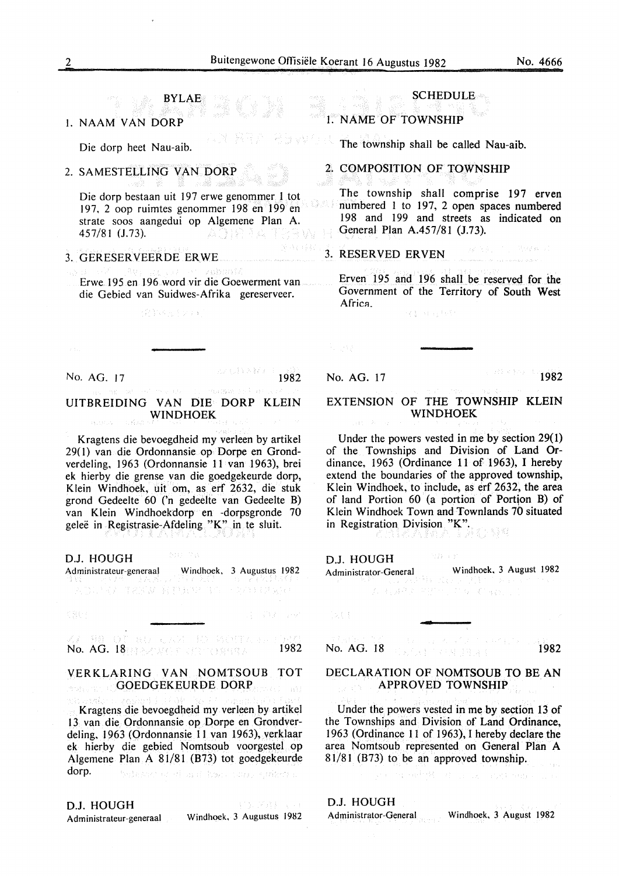I. NAAM VAN DORP

Die dorp heet Nau-aib.

### 2. SAMESTELLING VAN DORP

Die dorp bestaan uit 197 erwe genommer I tot 197, 2 oop ruimtes genom mer 198 en 199 en strate soos aangedui op Algemene Plan A. 457/81 (J.73). - 보이프링 김 소 기간 김 : W

BYLAE

#### 3. GERESER VEER DE ERWE

Erwe 195 en 196 word vir die Goewerment van die Gebied van Suidwes-Afrika gereserveer.

#### (2)74点(シリ)

No. AG. 17 2000 1982

A. Sales

#### UITBREIDING VAN DIE DORP KLEIN WINDHOEK

Kragtens die bevoegdheid my verleen by artikel 29( 1) van die Ordonnansie op Dorpe en Grondverdeling, 1963 (Ordonnansie 11 van 1963), brei ek hierby die grense van die goedgekeurde dorp, Klein Windhoek, uit om, as erf 2632, die stuk grond Gedeelte 60 ('n gedeelte van Gedeelte B) van Klein Windhoekdorp en -dorpsgronde 70 gelee in Registrasie-Afdeling "K" in te sluit.

D.J. HOUGH

Administrateur-generaal Windhoek, 3 Augustus 1982

NESS TREW RELEVATION CONTRACT

取り しんは (40) 高く相互(4): No. AG. 18 a service and conserve 1982

#### VERKLARING VAN NOMTSOUB TOT GOEDGEKEURDE DORP A.

Kragtens die bevoegdheid my verleen by artike1 13 van die Ordonnansie op Dorpe en Grondverdeling, 1963 (Ordonnansie 11 van 1963), verklaar ek hierby die gebied Nomtsoub voorgestel op Algemene Plan A 81/81 (B73) tot goedgekeurde dorp. behave of and boundary surface o

D.J. HOUGH CY 333 L L Administrateur-generaal Windhoek, 3 Augustus 1982

#### **SCHEDULE**

#### I. NAME OF TOWNSHIP

The township shall be called Nau-aib.

# 2. COMPOSITION OF TOWNSHIP

The township shall comprise 197 erven numbered I to 197, 2 open spaces numbered 198 and I99 and streets as indicated on General Plan A.457/8I (J.73).

#### 接受到 (1) 网络W-21 3. RESERVED ERVEN

Erven I95 and I96 shall be reserved for the Government of the Territory of South West Africa. (1) 网络传统

No. AG. 17 1982

#### EXTENSION OF THE TOWNSHIP KLEIN WINDHOEK

Under the powers vested in me by section 29(1) of the Townships and Division of Land Ordinance, 1963 (Ordinance 11 of 1963), I hereby extend the boundaries of the approved township, Klein Windhoek, to include, as erf 2632, the area of land Portion  $60$  (a portion of Portion B) of Klein Windhoek Town and Townlands 70 situated in Registration Division "K".

D.J. HOUGH

| Administrator-General |  |  |  | Windhoek, 3 August 1982                        |  |  |
|-----------------------|--|--|--|------------------------------------------------|--|--|
|                       |  |  |  | 医腹膜炎 医多种性皮炎 医心包 医神经性脑炎 医心包 医白细胞 医中央性 化二乙烯基 医心包 |  |  |
|                       |  |  |  | しゅうしゅうしゅ (すいたい) ひとまり キャンパナ かえい こうどけいしゅよう ハード   |  |  |

334 S.Y

DEE

No. AG. 18 **1982** 

#### DECLARATION OF NOMTSOUB TO BE AN APPROVED TOWNSHIP

Under the powers vested in me by section 13 of the Townships and Division of Land Ordinance, 1963 (Ordinance 11 of 1963), I hereby declare the area Nomtsoub represented on General Plan A 81/81 (B73) to be an approved township.

and the substitution of a care continuous

# D.J. HOUGH

Administrator-General Windhoek. 3 August 1982

No. 42 5 8 45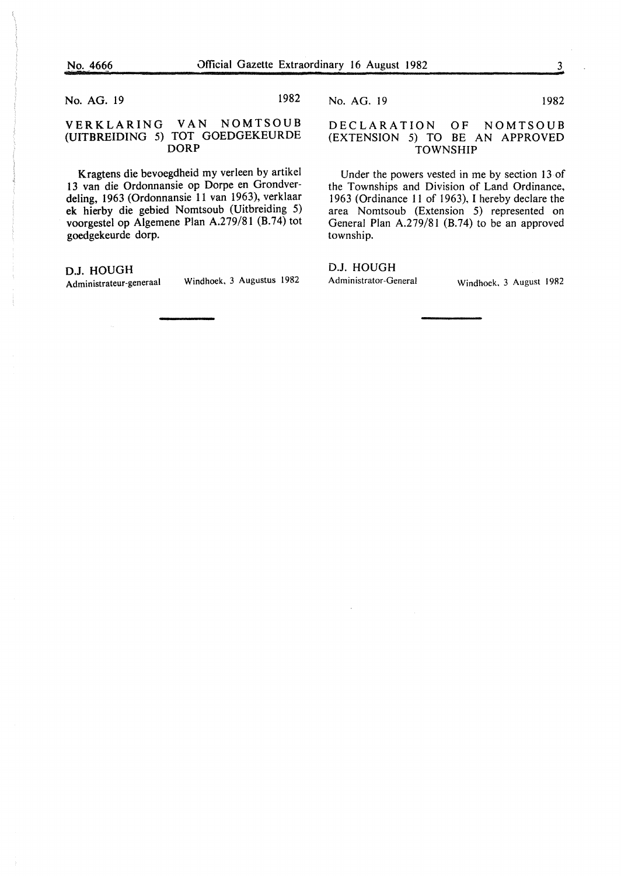No. AG. 19 1982

#### VERKLARING VAN NOMTSOUB (UITBREIDING 5) TOT GOEDGEKEURDE DORP

Kragtens die bevoegdheid my verleen by artikel 13 van die Ordonnansie op Dorpe en Grondverdeling, 1963 (Ordonnansie 11 van 1963), verklaar ek hierby die gebied Nomtsoub (Uitbreiding 5) voorgestel op Algemene Plan A.279/81 (B.74) tot goedgekeurde dorp.

#### D.J. HOUGH

Administrateur-generaal Windhoek, 3 Augustus 1982

No. AG. 19 1982

#### DECLARATION OF NOMTSOUB (EXTENSION 5) TO BE AN APPROVED TOWNSHIP

Under the powers vested in me by section 13 of the Townships and Division of Land Ordinance, 1963 (Ordinance 11 of 1963), I hereby declare the area Nomtsoub (Extension 5) represented on General Plan A.279/81 (B.74) to be an approved township.

D.J. HOUGH Administrator-General Windhoek, 3 August 19R2